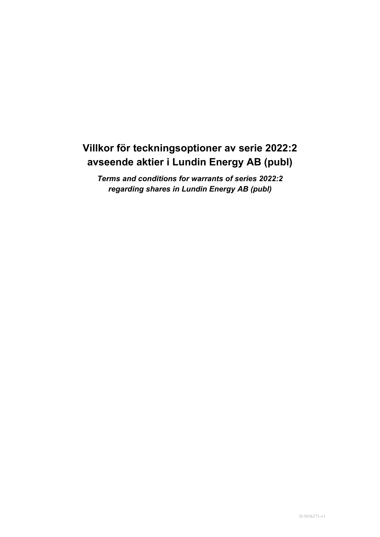# **Villkor för teckningsoptioner av serie 2022:2 avseende aktier i Lundin Energy AB (publ)**

*Terms and conditions for warrants of series 2022:2 regarding shares in Lundin Energy AB (publ)*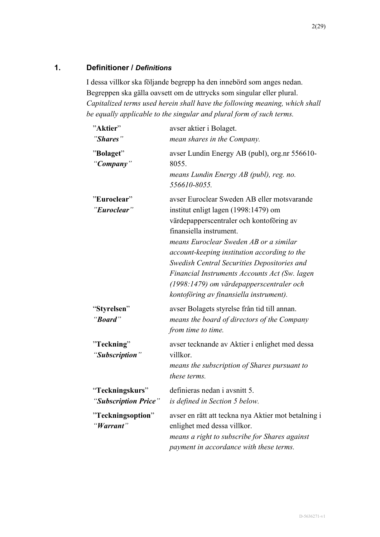# **1. Definitioner /** *Definitions*

I dessa villkor ska följande begrepp ha den innebörd som anges nedan. Begreppen ska gälla oavsett om de uttrycks som singular eller plural. *Capitalized terms used herein shall have the following meaning, which shall be equally applicable to the singular and plural form of such terms.*

| "Aktier"                                | avser aktier i Bolaget.                                                                                                                                                                                                                                                                                                                                                                                                                     |
|-----------------------------------------|---------------------------------------------------------------------------------------------------------------------------------------------------------------------------------------------------------------------------------------------------------------------------------------------------------------------------------------------------------------------------------------------------------------------------------------------|
| "Shares"                                | mean shares in the Company.                                                                                                                                                                                                                                                                                                                                                                                                                 |
| "Bolaget"<br>"Company"                  | avser Lundin Energy AB (publ), org.nr 556610-<br>8055.<br>means Lundin Energy AB (publ), reg. no.<br>556610-8055.                                                                                                                                                                                                                                                                                                                           |
| "Euroclear"<br>"Euroclear"              | avser Euroclear Sweden AB eller motsvarande<br>institut enligt lagen (1998:1479) om<br>värdepapperscentraler och kontoföring av<br>finansiella instrument.<br>means Euroclear Sweden AB or a similar<br>account-keeping institution according to the<br>Swedish Central Securities Depositories and<br>Financial Instruments Accounts Act (Sw. lagen<br>(1998:1479) om värdepapperscentraler och<br>kontoföring av finansiella instrument). |
| "Styrelsen"<br>"Board"                  | avser Bolagets styrelse från tid till annan.<br>means the board of directors of the Company<br>from time to time.                                                                                                                                                                                                                                                                                                                           |
| "Teckning"<br>"Subscription"            | avser tecknande av Aktier i enlighet med dessa<br>villkor.<br>means the subscription of Shares pursuant to<br>these terms.                                                                                                                                                                                                                                                                                                                  |
| "Teckningskurs"<br>"Subscription Price" | definieras nedan i avsnitt 5.<br>is defined in Section 5 below.                                                                                                                                                                                                                                                                                                                                                                             |
| "Teckningsoption"<br>"Warrant"          | avser en rätt att teckna nya Aktier mot betalning i<br>enlighet med dessa villkor.<br>means a right to subscribe for Shares against<br>payment in accordance with these terms.                                                                                                                                                                                                                                                              |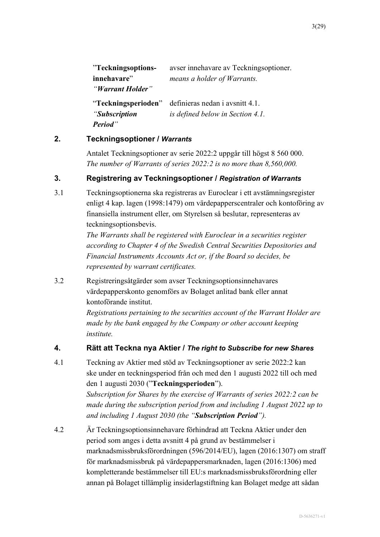| "Teckningsoptions-  | avser innehavare av Teckningsoptioner. |
|---------------------|----------------------------------------|
| innehavare"         | means a holder of Warrants.            |
| "Warrant Holder"    |                                        |
| "Teckningsperioden" | definieras nedan i avsnitt 4.1.        |
| "Subscription"      | is defined below in Section 4.1.       |
| <b>Period</b> "     |                                        |

#### **2. Teckningsoptioner /** *Warrants*

Antalet Teckningsoptioner av serie 2022:2 uppgår till högst 8 560 000. *The number of Warrants of series 2022:2 is no more than 8,560,000.*

#### **3. Registrering av Teckningsoptioner /** *Registration of Warrants*

3.1 Teckningsoptionerna ska registreras av Euroclear i ett avstämningsregister enligt 4 kap. lagen (1998:1479) om värdepapperscentraler och kontoföring av finansiella instrument eller, om Styrelsen så beslutar, representeras av teckningsoptionsbevis.

> *The Warrants shall be registered with Euroclear in a securities register according to Chapter 4 of the Swedish Central Securities Depositories and Financial Instruments Accounts Act or, if the Board so decides, be represented by warrant certificates.*

3.2 Registreringsåtgärder som avser Teckningsoptionsinnehavares värdepapperskonto genomförs av Bolaget anlitad bank eller annat kontoförande institut.

> *Registrations pertaining to the securities account of the Warrant Holder are made by the bank engaged by the Company or other account keeping institute.*

#### <span id="page-2-1"></span>**4. Rätt att Teckna nya Aktier /** *The right to Subscribe for new Shares*

<span id="page-2-0"></span>4.1 Teckning av Aktier med stöd av Teckningsoptioner av serie 2022:2 kan ske under en teckningsperiod från och med den 1 augusti 2022 till och med den 1 augusti 2030 ("**Teckningsperioden**"). *Subscription for Shares by the exercise of Warrants of series 2022:2 can be made during the subscription period from and including 1 August 2022 up to* 

*and including 1 August 2030 (the "Subscription Period").*

4.2 Är Teckningsoptionsinnehavare förhindrad att Teckna Aktier under den period som anges i detta avsnitt 4 på grund av bestämmelser i marknadsmissbruksförordningen (596/2014/EU), lagen (2016:1307) om straff för marknadsmissbruk på värdepappersmarknaden, lagen (2016:1306) med kompletterande bestämmelser till EU:s marknadsmissbruksförordning eller annan på Bolaget tillämplig insiderlagstiftning kan Bolaget medge att sådan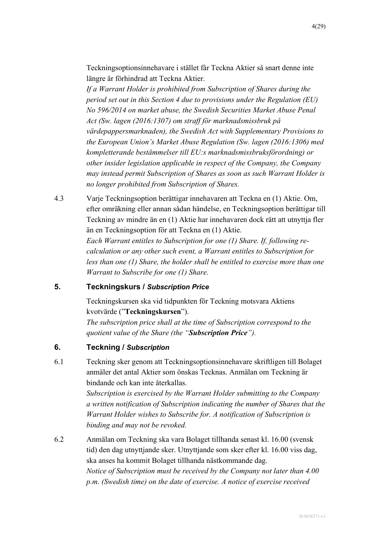Teckningsoptionsinnehavare i stället får Teckna Aktier så snart denne inte längre är förhindrad att Teckna Aktier.

*If a Warrant Holder is prohibited from Subscription of Shares during the period set out in this Section 4 due to provisions under the Regulation (EU) No 596/2014 on market abuse, the Swedish Securities Market Abuse Penal Act (Sw. lagen (2016:1307) om straff för marknadsmissbruk på värdepappersmarknaden), the Swedish Act with Supplementary Provisions to the European Union's Market Abuse Regulation (Sw. lagen (2016:1306) med kompletterande bestämmelser till EU:s marknadsmissbruksförordning) or other insider legislation applicable in respect of the Company, the Company may instead permit Subscription of Shares as soon as such Warrant Holder is no longer prohibited from Subscription of Shares.*

4.3 Varje Teckningsoption berättigar innehavaren att Teckna en (1) Aktie. Om, efter omräkning eller annan sådan händelse, en Teckningsoption berättigar till Teckning av mindre än en (1) Aktie har innehavaren dock rätt att utnyttja fler än en Teckningsoption för att Teckna en (1) Aktie. *Each Warrant entitles to Subscription for one (1) Share. If, following recalculation or any other such event, a Warrant entitles to Subscription for less than one (1) Share, the holder shall be entitled to exercise more than one Warrant to Subscribe for one (1) Share.*

#### <span id="page-3-0"></span>**5. Teckningskurs /** *Subscription Price*

Teckningskursen ska vid tidpunkten för Teckning motsvara Aktiens kvotvärde ("**Teckningskursen**").

*The subscription price shall at the time of Subscription correspond to the quotient value of the Share (the "Subscription Price").*

### **6. Teckning /** *Subscription*

6.1 Teckning sker genom att Teckningsoptionsinnehavare skriftligen till Bolaget anmäler det antal Aktier som önskas Tecknas. Anmälan om Teckning är bindande och kan inte återkallas.

> *Subscription is exercised by the Warrant Holder submitting to the Company a written notification of Subscription indicating the number of Shares that the Warrant Holder wishes to Subscribe for. A notification of Subscription is binding and may not be revoked.*

6.2 Anmälan om Teckning ska vara Bolaget tillhanda senast kl. 16.00 (svensk tid) den dag utnyttjande sker. Utnyttjande som sker efter kl. 16.00 viss dag, ska anses ha kommit Bolaget tillhanda nästkommande dag. *Notice of Subscription must be received by the Company not later than 4.00 p.m. (Swedish time) on the date of exercise. A notice of exercise received*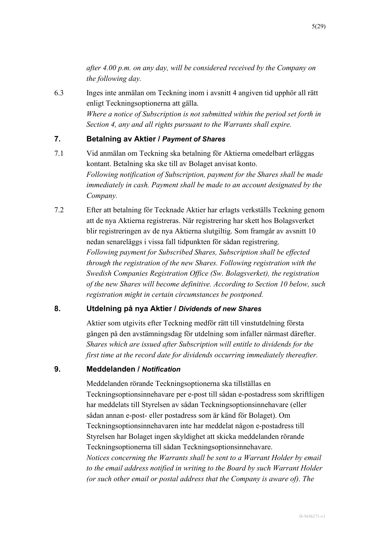*after 4.00 p.m. on any day, will be considered received by the Company on the following day.*

6.3 Inges inte anmälan om Teckning inom i avsnitt [4](#page-2-1) angiven tid upphör all rätt enligt Teckningsoptionerna att gälla. *Where a notice of Subscription is not submitted within the period set forth in Section [4,](#page-2-1) any and all rights pursuant to the Warrants shall expire.*

#### **7. Betalning av Aktier /** *Payment of Shares*

- 7.1 Vid anmälan om Teckning ska betalning för Aktierna omedelbart erläggas kontant. Betalning ska ske till av Bolaget anvisat konto. *Following notification of Subscription, payment for the Shares shall be made immediately in cash. Payment shall be made to an account designated by the Company.*
- 7.2 Efter att betalning för Tecknade Aktier har erlagts verkställs Teckning genom att de nya Aktierna registreras. När registrering har skett hos Bolagsverket blir registreringen av de nya Aktierna slutgiltig. Som framgår av avsnitt [10](#page-5-0) nedan senareläggs i vissa fall tidpunkten för sådan registrering. *Following payment for Subscribed Shares, Subscription shall be effected through the registration of the new Shares. Following registration with the Swedish Companies Registration Office (Sw. Bolagsverket), the registration of the new Shares will become definitive. According to Section [10](#page-5-0) below, such registration might in certain circumstances be postponed.*

#### **8. Utdelning på nya Aktier /** *Dividends of new Shares*

Aktier som utgivits efter Teckning medför rätt till vinstutdelning första gången på den avstämningsdag för utdelning som infaller närmast därefter. *Shares which are issued after Subscription will entitle to dividends for the first time at the record date for dividends occurring immediately thereafter.*

#### **9. Meddelanden /** *Notification*

Meddelanden rörande Teckningsoptionerna ska tillställas en Teckningsoptionsinnehavare per e-post till sådan e-postadress som skriftligen har meddelats till Styrelsen av sådan Teckningsoptionsinnehavare (eller sådan annan e-post- eller postadress som är känd för Bolaget). Om Teckningsoptionsinnehavaren inte har meddelat någon e-postadress till Styrelsen har Bolaget ingen skyldighet att skicka meddelanden rörande Teckningsoptionerna till sådan Teckningsoptionsinnehavare. *Notices concerning the Warrants shall be sent to a Warrant Holder by email to the email address notified in writing to the Board by such Warrant Holder (or such other email or postal address that the Company is aware of). The*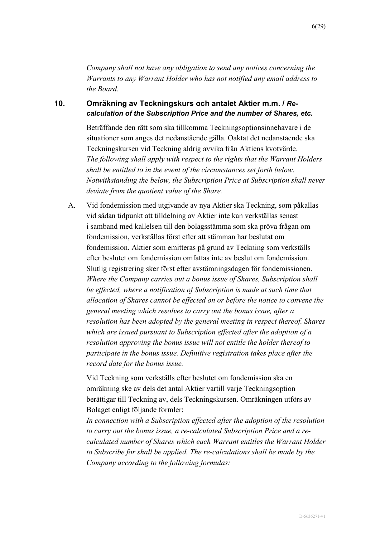*Company shall not have any obligation to send any notices concerning the Warrants to any Warrant Holder who has not notified any email address to the Board.*

#### <span id="page-5-0"></span>**10. Omräkning av Teckningskurs och antalet Aktier m.m. /** *Recalculation of the Subscription Price and the number of Shares, etc.*

Beträffande den rätt som ska tillkomma Teckningsoptionsinnehavare i de situationer som anges det nedanstående gälla. Oaktat det nedanstående ska Teckningskursen vid Teckning aldrig avvika från Aktiens kvotvärde. *The following shall apply with respect to the rights that the Warrant Holders shall be entitled to in the event of the circumstances set forth below. Notwithstanding the below, the Subscription Price at Subscription shall never deviate from the quotient value of the Share.*

<span id="page-5-1"></span>A. Vid fondemission med utgivande av nya Aktier ska Teckning, som påkallas vid sådan tidpunkt att tilldelning av Aktier inte kan verkställas senast i samband med kallelsen till den bolagsstämma som ska pröva frågan om fondemission, verkställas först efter att stämman har beslutat om fondemission. Aktier som emitteras på grund av Teckning som verkställs efter beslutet om fondemission omfattas inte av beslut om fondemission. Slutlig registrering sker först efter avstämningsdagen för fondemissionen. *Where the Company carries out a bonus issue of Shares, Subscription shall be effected, where a notification of Subscription is made at such time that allocation of Shares cannot be effected on or before the notice to convene the general meeting which resolves to carry out the bonus issue, after a resolution has been adopted by the general meeting in respect thereof. Shares which are issued pursuant to Subscription effected after the adoption of a resolution approving the bonus issue will not entitle the holder thereof to participate in the bonus issue. Definitive registration takes place after the record date for the bonus issue.*

Vid Teckning som verkställs efter beslutet om fondemission ska en omräkning ske av dels det antal Aktier vartill varje Teckningsoption berättigar till Teckning av, dels Teckningskursen. Omräkningen utförs av Bolaget enligt följande formler:

*In connection with a Subscription effected after the adoption of the resolution to carry out the bonus issue, a re-calculated Subscription Price and a recalculated number of Shares which each Warrant entitles the Warrant Holder to Subscribe for shall be applied. The re-calculations shall be made by the Company according to the following formulas:*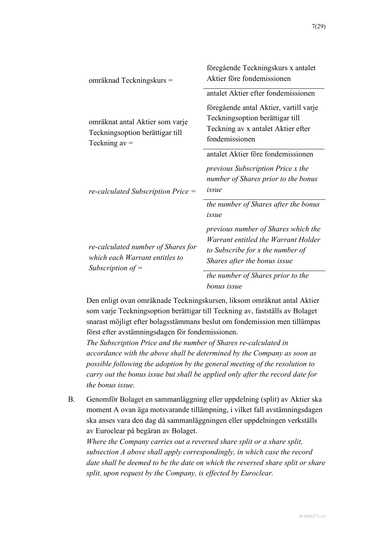| omräknad Teckningskurs =                                                                    | föregående Teckningskurs x antalet<br>Aktier före fondemissionen                                                                               |
|---------------------------------------------------------------------------------------------|------------------------------------------------------------------------------------------------------------------------------------------------|
|                                                                                             | antalet Aktier efter fondemissionen                                                                                                            |
| omräknat antal Aktier som varje<br>Teckningsoption berättigar till<br>Teckning $av =$       | föregående antal Aktier, vartill varje<br>Teckningsoption berättigar till<br>Teckning av x antalet Aktier efter<br>fondemissionen              |
| $re\text{-}calculated$ Subscription Price $=$                                               | antalet Aktier före fondemissionen<br><i>previous Subscription Price x the</i><br>number of Shares prior to the bonus<br>issue                 |
|                                                                                             | the number of Shares after the bonus<br>issue                                                                                                  |
| re-calculated number of Shares for<br>which each Warrant entitles to<br>Subscription of $=$ | previous number of Shares which the<br>Warrant entitled the Warrant Holder<br>to Subscribe for x the number of<br>Shares after the bonus issue |
|                                                                                             | the number of Shares prior to the<br>bonus issue                                                                                               |

Den enligt ovan omräknade Teckningskursen, liksom omräknat antal Aktier som varje Teckningsoption berättigar till Teckning av, fastställs av Bolaget snarast möjligt efter bolagsstämmans beslut om fondemission men tillämpas först efter avstämningsdagen för fondemissionen.

*The Subscription Price and the number of Shares re-calculated in accordance with the above shall be determined by the Company as soon as possible following the adoption by the general meeting of the resolution to carry out the bonus issue but shall be applied only after the record date for the bonus issue.*

B. Genomför Bolaget en sammanläggning eller uppdelning (split) av Aktier ska moment [A](#page-5-1) ovan äga motsvarande tillämpning, i vilket fall avstämningsdagen ska anses vara den dag då sammanläggningen eller uppdelningen verkställs av Euroclear på begäran av Bolaget.

*Where the Company carries out a reversed share split or a share split, subsection [A](#page-5-1) above shall apply correspondingly, in which case the record date shall be deemed to be the date on which the reversed share split or share split, upon request by the Company, is effected by Euroclear.*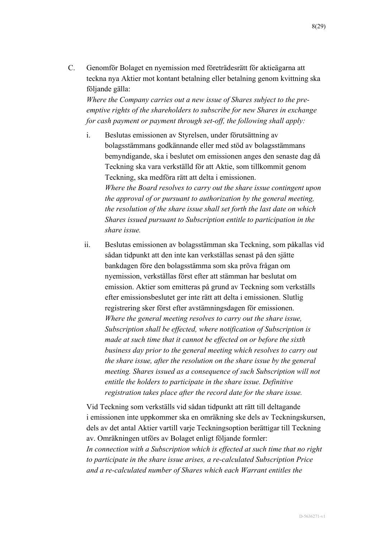<span id="page-7-0"></span>C. Genomför Bolaget en nyemission med företrädesrätt för aktieägarna att teckna nya Aktier mot kontant betalning eller betalning genom kvittning ska följande gälla:

*Where the Company carries out a new issue of Shares subject to the preemptive rights of the shareholders to subscribe for new Shares in exchange for cash payment or payment through set-off, the following shall apply:*

- <span id="page-7-1"></span>i. Beslutas emissionen av Styrelsen, under förutsättning av bolagsstämmans godkännande eller med stöd av bolagsstämmans bemyndigande, ska i beslutet om emissionen anges den senaste dag då Teckning ska vara verkställd för att Aktie, som tillkommit genom Teckning, ska medföra rätt att delta i emissionen. *Where the Board resolves to carry out the share issue contingent upon the approval of or pursuant to authorization by the general meeting, the resolution of the share issue shall set forth the last date on which Shares issued pursuant to Subscription entitle to participation in the share issue.*
- <span id="page-7-2"></span>ii. Beslutas emissionen av bolagsstämman ska Teckning, som påkallas vid sådan tidpunkt att den inte kan verkställas senast på den sjätte bankdagen före den bolagsstämma som ska pröva frågan om nyemission, verkställas först efter att stämman har beslutat om emission. Aktier som emitteras på grund av Teckning som verkställs efter emissionsbeslutet ger inte rätt att delta i emissionen. Slutlig registrering sker först efter avstämningsdagen för emissionen. *Where the general meeting resolves to carry out the share issue, Subscription shall be effected, where notification of Subscription is made at such time that it cannot be effected on or before the sixth business day prior to the general meeting which resolves to carry out the share issue, after the resolution on the share issue by the general meeting. Shares issued as a consequence of such Subscription will not entitle the holders to participate in the share issue. Definitive registration takes place after the record date for the share issue.*

Vid Teckning som verkställs vid sådan tidpunkt att rätt till deltagande i emissionen inte uppkommer ska en omräkning ske dels av Teckningskursen, dels av det antal Aktier vartill varje Teckningsoption berättigar till Teckning av. Omräkningen utförs av Bolaget enligt följande formler: *In connection with a Subscription which is effected at such time that no right to participate in the share issue arises, a re-calculated Subscription Price and a re-calculated number of Shares which each Warrant entitles the*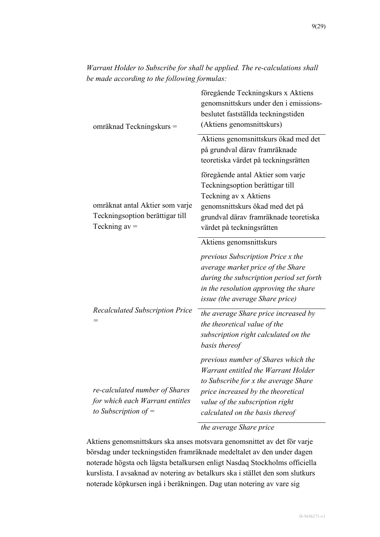| omräknad Teckningskurs =                                                                    | föregående Teckningskurs x Aktiens<br>genomsnittskurs under den i emissions-<br>beslutet fastställda teckningstiden<br>(Aktiens genomsnittskurs)                                                                               |
|---------------------------------------------------------------------------------------------|--------------------------------------------------------------------------------------------------------------------------------------------------------------------------------------------------------------------------------|
|                                                                                             | Aktiens genomsnittskurs ökad med det<br>på grundval därav framräknade<br>teoretiska värdet på teckningsrätten                                                                                                                  |
| omräknat antal Aktier som varje<br>Teckningsoption berättigar till<br>Teckning $av =$       | föregående antal Aktier som varje<br>Teckningsoption berättigar till<br>Teckning av x Aktiens<br>genomsnittskurs ökad med det på<br>grundval därav framräknade teoretiska<br>värdet på teckningsrätten                         |
|                                                                                             | Aktiens genomsnittskurs<br>previous Subscription Price x the                                                                                                                                                                   |
|                                                                                             | average market price of the Share<br>during the subscription period set forth<br>in the resolution approving the share<br>issue (the average Share price)                                                                      |
| <b>Recalculated Subscription Price</b>                                                      | the average Share price increased by<br>the theoretical value of the<br>subscription right calculated on the<br>basis thereof                                                                                                  |
| re-calculated number of Shares<br>for which each Warrant entitles<br>to Subscription of $=$ | previous number of Shares which the<br>Warrant entitled the Warrant Holder<br>to Subscribe for x the average Share<br>price increased by the theoretical<br>value of the subscription right<br>calculated on the basis thereof |

*Warrant Holder to Subscribe for shall be applied. The re-calculations shall be made according to the following formulas:*

*the average Share price*

Aktiens genomsnittskurs ska anses motsvara genomsnittet av det för varje börsdag under teckningstiden framräknade medeltalet av den under dagen noterade högsta och lägsta betalkursen enligt Nasdaq Stockholms officiella kurslista. I avsaknad av notering av betalkurs ska i stället den som slutkurs noterade köpkursen ingå i beräkningen. Dag utan notering av vare sig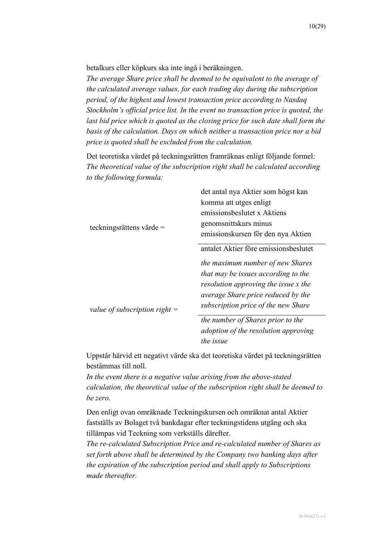betalkurs eller köpkurs ska inte ingå i beräkningen.

*The average Share price shall be deemed to be equivalent to the average of the calculated average values, for each trading day during the subscription period, of the highest and lowest transaction price according to Nasdaq Stockholm's official price list. In the event no transaction price is quoted, the*  last bid price which is quoted as the closing price for such date shall form the *basis of the calculation. Days on which neither a transaction price nor a bid price is quoted shall be excluded from the calculation.*

Det teoretiska värdet på teckningsrätten framräknas enligt följande formel: *The theoretical value of the subscription right shall be calculated according to the following formula:*

|                                 | det antal nya Aktier som högst kan    |
|---------------------------------|---------------------------------------|
|                                 | komma att utges enligt                |
|                                 | emissionsbeslutet x Aktiens           |
| teckningsrättens värde $=$      | genomsnittskurs minus                 |
|                                 | emissionskursen för den nya Aktien    |
|                                 | antalet Aktier före emissionsbeslutet |
|                                 | the maximum number of new Shares      |
| value of subscription right $=$ | that may be issues according to the   |
|                                 | resolution approving the issue x the  |
|                                 | average Share price reduced by the    |
|                                 | subscription price of the new Share   |
|                                 | the number of Shares prior to the     |
|                                 | adoption of the resolution approving  |
|                                 | the issue                             |

Uppstår härvid ett negativt värde ska det teoretiska värdet på teckningsrätten bestämmas till noll.

*In the event there is a negative value arising from the above-stated calculation, the theoretical value of the subscription right shall be deemed to be zero.*

Den enligt ovan omräknade Teckningskursen och omräknat antal Aktier fastställs av Bolaget två bankdagar efter teckningstidens utgång och ska tillämpas vid Teckning som verkställs därefter.

*The re-calculated Subscription Price and re-calculated number of Shares as set forth above shall be determined by the Company two banking days after the expiration of the subscription period and shall apply to Subscriptions made thereafter.*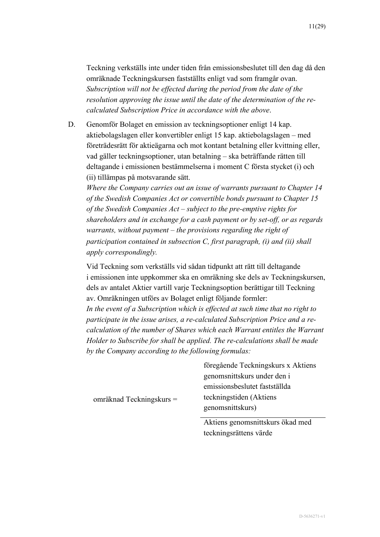Teckning verkställs inte under tiden från emissionsbeslutet till den dag då den omräknade Teckningskursen fastställts enligt vad som framgår ovan. *Subscription will not be effected during the period from the date of the resolution approving the issue until the date of the determination of the recalculated Subscription Price in accordance with the above*.

<span id="page-10-0"></span>D. Genomför Bolaget en emission av teckningsoptioner enligt 14 kap. aktiebolagslagen eller konvertibler enligt 15 kap. aktiebolagslagen – med företrädesrätt för aktieägarna och mot kontant betalning eller kvittning eller, vad gäller teckningsoptioner, utan betalning – ska beträffande rätten till deltagande i emissionen bestämmelserna i moment [C](#page-7-0) första stycket [\(i\)](#page-7-1) och [\(ii\)](#page-7-2) tillämpas på motsvarande sätt.

*Where the Company carries out an issue of warrants pursuant to Chapter 14 of the Swedish Companies Act or convertible bonds pursuant to Chapter 15 of the Swedish Companies Act – subject to the pre-emptive rights for shareholders and in exchange for a cash payment or by set-off, or as regards warrants, without payment – the provisions regarding the right of participation contained in subsection [C,](#page-7-0) first paragraph, [\(i\)](#page-7-1) and [\(ii\)](#page-7-2) shall apply correspondingly.*

Vid Teckning som verkställs vid sådan tidpunkt att rätt till deltagande i emissionen inte uppkommer ska en omräkning ske dels av Teckningskursen, dels av antalet Aktier vartill varje Teckningsoption berättigar till Teckning av. Omräkningen utförs av Bolaget enligt följande formler:

*In the event of a Subscription which is effected at such time that no right to participate in the issue arises, a re-calculated Subscription Price and a recalculation of the number of Shares which each Warrant entitles the Warrant Holder to Subscribe for shall be applied. The re-calculations shall be made by the Company according to the following formulas:*

> föregående Teckningskurs x Aktiens genomsnittskurs under den i emissionsbeslutet fastställda teckningstiden (Aktiens genomsnittskurs)

> > Aktiens genomsnittskurs ökad med teckningsrättens värde

omräknad Teckningskurs =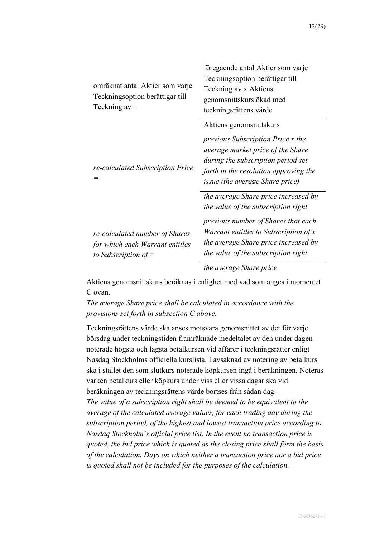| omräknat antal Aktier som varje<br>Teckningsoption berättigar till<br>Teckning $av =$       | föregående antal Aktier som varje<br>Teckningsoption berättigar till<br>Teckning av x Aktiens<br>genomsnittskurs ökad med<br>teckningsrättens värde                                                                                        |
|---------------------------------------------------------------------------------------------|--------------------------------------------------------------------------------------------------------------------------------------------------------------------------------------------------------------------------------------------|
| re-calculated Subscription Price<br>$=$                                                     | Aktiens genomsnittskurs<br><i>previous Subscription Price x the</i><br>average market price of the Share<br>during the subscription period set<br>forth in the resolution approving the<br><i>issue (the average Share price)</i>          |
| re-calculated number of Shares<br>for which each Warrant entitles<br>to Subscription of $=$ | the average Share price increased by<br>the value of the subscription right<br>previous number of Shares that each<br>Warrant entitles to Subscription of x<br>the average Share price increased by<br>the value of the subscription right |
|                                                                                             | the average Share price                                                                                                                                                                                                                    |

Aktiens genomsnittskurs beräknas i enlighet med vad som anges i momentet [C](#page-7-0) ovan.

*The average Share price shall be calculated in accordance with the provisions set forth in subsection [C](#page-7-0) above.*

Teckningsrättens värde ska anses motsvara genomsnittet av det för varje börsdag under teckningstiden framräknade medeltalet av den under dagen noterade högsta och lägsta betalkursen vid affärer i teckningsrätter enligt Nasdaq Stockholms officiella kurslista. I avsaknad av notering av betalkurs ska i stället den som slutkurs noterade köpkursen ingå i beräkningen. Noteras varken betalkurs eller köpkurs under viss eller vissa dagar ska vid beräkningen av teckningsrättens värde bortses från sådan dag. *The value of a subscription right shall be deemed to be equivalent to the average of the calculated average values, for each trading day during the subscription period, of the highest and lowest transaction price according to Nasdaq Stockholm's official price list. In the event no transaction price is quoted, the bid price which is quoted as the closing price shall form the basis of the calculation. Days on which neither a transaction price nor a bid price is quoted shall not be included for the purposes of the calculation.*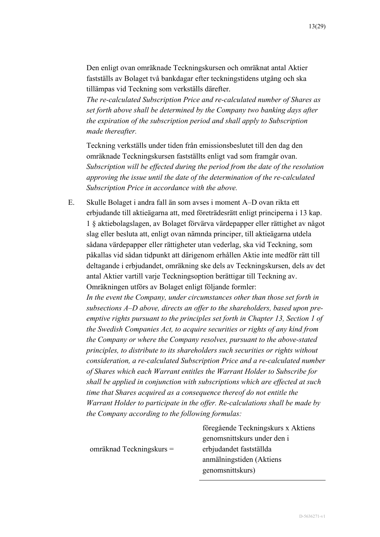Den enligt ovan omräknade Teckningskursen och omräknat antal Aktier fastställs av Bolaget två bankdagar efter teckningstidens utgång och ska tillämpas vid Teckning som verkställs därefter.

*The re-calculated Subscription Price and re-calculated number of Shares as set forth above shall be determined by the Company two banking days after the expiration of the subscription period and shall apply to Subscription made thereafter.*

Teckning verkställs under tiden från emissionsbeslutet till den dag den omräknade Teckningskursen fastställts enligt vad som framgår ovan. *Subscription will be effected during the period from the date of the resolution approving the issue until the date of the determination of the re-calculated Subscription Price in accordance with the above.*

<span id="page-12-0"></span>E. Skulle Bolaget i andra fall än som avses i moment [A](#page-5-1)[–D](#page-10-0) ovan rikta ett erbjudande till aktieägarna att, med företrädesrätt enligt principerna i 13 kap. 1 § aktiebolagslagen, av Bolaget förvärva värdepapper eller rättighet av något slag eller besluta att, enligt ovan nämnda principer, till aktieägarna utdela sådana värdepapper eller rättigheter utan vederlag, ska vid Teckning, som påkallas vid sådan tidpunkt att därigenom erhållen Aktie inte medför rätt till deltagande i erbjudandet, omräkning ske dels av Teckningskursen, dels av det antal Aktier vartill varje Teckningsoption berättigar till Teckning av. Omräkningen utförs av Bolaget enligt följande formler:

*In the event the Company, under circumstances other than those set forth in subsections [A](#page-5-1)[–D](#page-10-0) above, directs an offer to the shareholders, based upon preemptive rights pursuant to the principles set forth in Chapter 13, Section 1 of the Swedish Companies Act, to acquire securities or rights of any kind from the Company or where the Company resolves, pursuant to the above-stated principles, to distribute to its shareholders such securities or rights without consideration, a re-calculated Subscription Price and a re-calculated number of Shares which each Warrant entitles the Warrant Holder to Subscribe for shall be applied in conjunction with subscriptions which are effected at such time that Shares acquired as a consequence thereof do not entitle the Warrant Holder to participate in the offer. Re-calculations shall be made by the Company according to the following formulas:*

|                            | föregående Teckningskurs x Aktiens |
|----------------------------|------------------------------------|
|                            | genomsnittskurs under den i        |
| omräknad Teckningskurs $=$ | erbjudandet fastställda            |
|                            | anmälningstiden (Aktiens           |
|                            | genomsnittskurs)                   |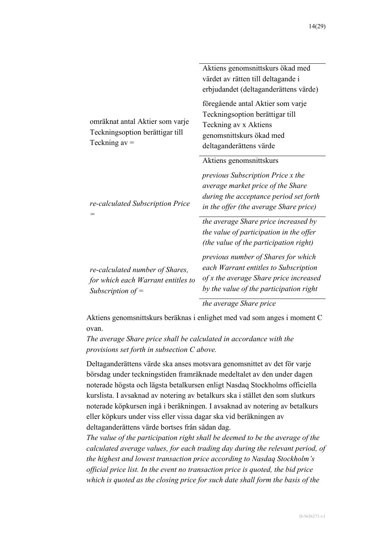|                                                                                              | Aktiens genomsnittskurs ökad med<br>värdet av rätten till deltagande i<br>erbjudandet (deltaganderättens värde)                                                                              |
|----------------------------------------------------------------------------------------------|----------------------------------------------------------------------------------------------------------------------------------------------------------------------------------------------|
| omräknat antal Aktier som varje<br>Teckningsoption berättigar till<br>Teckning $av =$        | föregående antal Aktier som varje<br>Teckningsoption berättigar till<br>Teckning av x Aktiens<br>genomsnittskurs ökad med<br>deltaganderättens värde                                         |
| re-calculated Subscription Price                                                             | Aktiens genomsnittskurs<br><i>previous Subscription Price x the</i><br>average market price of the Share<br>during the acceptance period set forth<br>in the offer (the average Share price) |
|                                                                                              | the average Share price increased by<br>the value of participation in the offer<br>(the value of the participation right)                                                                    |
| re-calculated number of Shares,<br>for which each Warrant entitles to<br>Subscription of $=$ | previous number of Shares for which<br>each Warrant entitles to Subscription<br>of x the average Share price increased<br>by the value of the participation right                            |
|                                                                                              | the average Share price                                                                                                                                                                      |

Aktiens genomsnittskurs beräknas i enlighet med vad som anges i moment [C](#page-7-0) ovan.

*The average Share price shall be calculated in accordance with the provisions set forth in subsection [C](#page-7-0) above.*

Deltaganderättens värde ska anses motsvara genomsnittet av det för varje börsdag under teckningstiden framräknade medeltalet av den under dagen noterade högsta och lägsta betalkursen enligt Nasdaq Stockholms officiella kurslista. I avsaknad av notering av betalkurs ska i stället den som slutkurs noterade köpkursen ingå i beräkningen. I avsaknad av notering av betalkurs eller köpkurs under viss eller vissa dagar ska vid beräkningen av deltaganderättens värde bortses från sådan dag.

*The value of the participation right shall be deemed to be the average of the calculated average values, for each trading day during the relevant period, of the highest and lowest transaction price according to Nasdaq Stockholm's official price list. In the event no transaction price is quoted, the bid price which is quoted as the closing price for such date shall form the basis of the*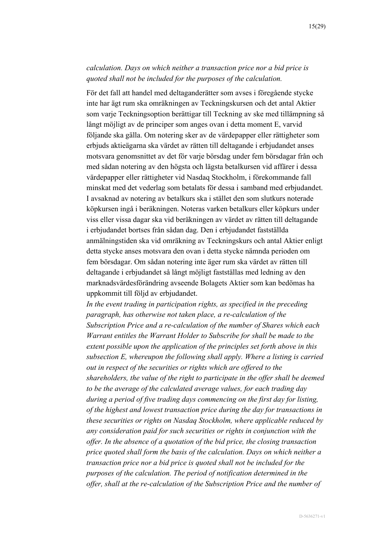## *calculation. Days on which neither a transaction price nor a bid price is quoted shall not be included for the purposes of the calculation.*

För det fall att handel med deltaganderätter som avses i föregående stycke inte har ägt rum ska omräkningen av Teckningskursen och det antal Aktier som varje Teckningsoption berättigar till Teckning av ske med tillämpning så långt möjligt av de principer som anges ovan i detta moment [E,](#page-12-0) varvid följande ska gälla. Om notering sker av de värdepapper eller rättigheter som erbjuds aktieägarna ska värdet av rätten till deltagande i erbjudandet anses motsvara genomsnittet av det för varje börsdag under fem börsdagar från och med sådan notering av den högsta och lägsta betalkursen vid affärer i dessa värdepapper eller rättigheter vid Nasdaq Stockholm, i förekommande fall minskat med det vederlag som betalats för dessa i samband med erbjudandet. I avsaknad av notering av betalkurs ska i stället den som slutkurs noterade köpkursen ingå i beräkningen. Noteras varken betalkurs eller köpkurs under viss eller vissa dagar ska vid beräkningen av värdet av rätten till deltagande i erbjudandet bortses från sådan dag. Den i erbjudandet fastställda anmälningstiden ska vid omräkning av Teckningskurs och antal Aktier enligt detta stycke anses motsvara den ovan i detta stycke nämnda perioden om fem börsdagar. Om sådan notering inte äger rum ska värdet av rätten till deltagande i erbjudandet så långt möjligt fastställas med ledning av den marknadsvärdesförändring avseende Bolagets Aktier som kan bedömas ha uppkommit till följd av erbjudandet.

*In the event trading in participation rights, as specified in the preceding paragraph, has otherwise not taken place, a re-calculation of the Subscription Price and a re-calculation of the number of Shares which each Warrant entitles the Warrant Holder to Subscribe for shall be made to the extent possible upon the application of the principles set forth above in this subsection [E,](#page-12-0) whereupon the following shall apply. Where a listing is carried out in respect of the securities or rights which are offered to the shareholders, the value of the right to participate in the offer shall be deemed to be the average of the calculated average values, for each trading day during a period of five trading days commencing on the first day for listing, of the highest and lowest transaction price during the day for transactions in these securities or rights on Nasdaq Stockholm, where applicable reduced by any consideration paid for such securities or rights in conjunction with the offer. In the absence of a quotation of the bid price, the closing transaction price quoted shall form the basis of the calculation. Days on which neither a transaction price nor a bid price is quoted shall not be included for the purposes of the calculation. The period of notification determined in the offer, shall at the re-calculation of the Subscription Price and the number of*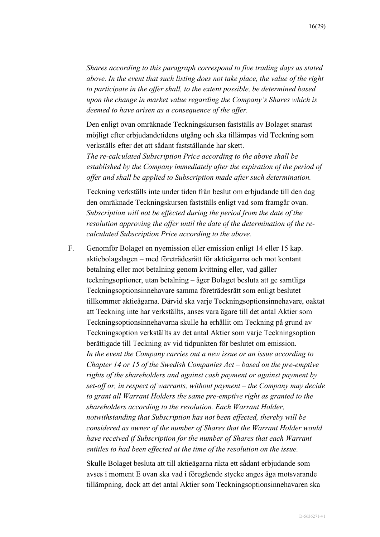*Shares according to this paragraph correspond to five trading days as stated above. In the event that such listing does not take place, the value of the right to participate in the offer shall, to the extent possible, be determined based upon the change in market value regarding the Company's Shares which is deemed to have arisen as a consequence of the offer.*

Den enligt ovan omräknade Teckningskursen fastställs av Bolaget snarast möjligt efter erbjudandetidens utgång och ska tillämpas vid Teckning som verkställs efter det att sådant fastställande har skett.

*The re-calculated Subscription Price according to the above shall be established by the Company immediately after the expiration of the period of offer and shall be applied to Subscription made after such determination.*

Teckning verkställs inte under tiden från beslut om erbjudande till den dag den omräknade Teckningskursen fastställs enligt vad som framgår ovan. *Subscription will not be effected during the period from the date of the resolution approving the offer until the date of the determination of the recalculated Subscription Price according to the above.*

<span id="page-15-0"></span>F. Genomför Bolaget en nyemission eller emission enligt 14 eller 15 kap. aktiebolagslagen – med företrädesrätt för aktieägarna och mot kontant betalning eller mot betalning genom kvittning eller, vad gäller teckningsoptioner, utan betalning – äger Bolaget besluta att ge samtliga Teckningsoptionsinnehavare samma företrädesrätt som enligt beslutet tillkommer aktieägarna. Därvid ska varje Teckningsoptionsinnehavare, oaktat att Teckning inte har verkställts, anses vara ägare till det antal Aktier som Teckningsoptionsinnehavarna skulle ha erhållit om Teckning på grund av Teckningsoption verkställts av det antal Aktier som varje Teckningsoption berättigade till Teckning av vid tidpunkten för beslutet om emission. *In the event the Company carries out a new issue or an issue according to Chapter 14 or 15 of the Swedish Companies Act – based on the pre-emptive rights of the shareholders and against cash payment or against payment by set-off or, in respect of warrants, without payment – the Company may decide to grant all Warrant Holders the same pre-emptive right as granted to the shareholders according to the resolution. Each Warrant Holder, notwithstanding that Subscription has not been effected, thereby will be considered as owner of the number of Shares that the Warrant Holder would have received if Subscription for the number of Shares that each Warrant entitles to had been effected at the time of the resolution on the issue.*

Skulle Bolaget besluta att till aktieägarna rikta ett sådant erbjudande som avses i moment [E](#page-12-0) ovan ska vad i föregående stycke anges äga motsvarande tillämpning, dock att det antal Aktier som Teckningsoptionsinnehavaren ska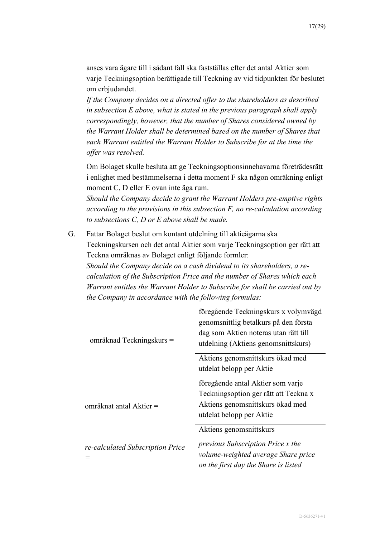anses vara ägare till i sådant fall ska fastställas efter det antal Aktier som varje Teckningsoption berättigade till Teckning av vid tidpunkten för beslutet om erbjudandet.

*If the Company decides on a directed offer to the shareholders as described in subsection [E](#page-12-0) above, what is stated in the previous paragraph shall apply correspondingly, however, that the number of Shares considered owned by the Warrant Holder shall be determined based on the number of Shares that each Warrant entitled the Warrant Holder to Subscribe for at the time the offer was resolved.*

Om Bolaget skulle besluta att ge Teckningsoptionsinnehavarna företrädesrätt i enlighet med bestämmelserna i detta moment [F](#page-15-0) ska någon omräkning enligt moment [C,](#page-7-0) [D](#page-10-0) eller [E](#page-12-0) ovan inte äga rum.

*Should the Company decide to grant the Warrant Holders pre-emptive rights according to the provisions in this subsection [F,](#page-15-0) no re-calculation according to subsections [C,](#page-7-0) [D](#page-10-0) or [E](#page-12-0) above shall be made.*

<span id="page-16-0"></span>G. Fattar Bolaget beslut om kontant utdelning till aktieägarna ska Teckningskursen och det antal Aktier som varje Teckningsoption ger rätt att Teckna omräknas av Bolaget enligt följande formler: *Should the Company decide on a cash dividend to its shareholders, a recalculation of the Subscription Price and the number of Shares which each Warrant entitles the Warrant Holder to Subscribe for shall be carried out by the Company in accordance with the following formulas:*

| omräknad Teckningskurs =                                    | föregående Teckningskurs x volymvägd<br>genomsnittlig betalkurs på den första<br>dag som Aktien noteras utan rätt till<br>utdelning (Aktiens genomsnittskurs) |
|-------------------------------------------------------------|---------------------------------------------------------------------------------------------------------------------------------------------------------------|
|                                                             | Aktiens genomsnittskurs ökad med                                                                                                                              |
|                                                             | utdelat belopp per Aktie                                                                                                                                      |
|                                                             | föregående antal Aktier som varje                                                                                                                             |
| omräknat antal Aktier =<br>re-calculated Subscription Price | Teckningsoption ger rätt att Teckna x                                                                                                                         |
|                                                             | Aktiens genomsnittskurs ökad med                                                                                                                              |
|                                                             | utdelat belopp per Aktie                                                                                                                                      |
|                                                             | Aktiens genomsnittskurs                                                                                                                                       |
|                                                             | <i>previous Subscription Price x the</i>                                                                                                                      |
|                                                             | volume-weighted average Share price                                                                                                                           |
|                                                             | on the first day the Share is listed                                                                                                                          |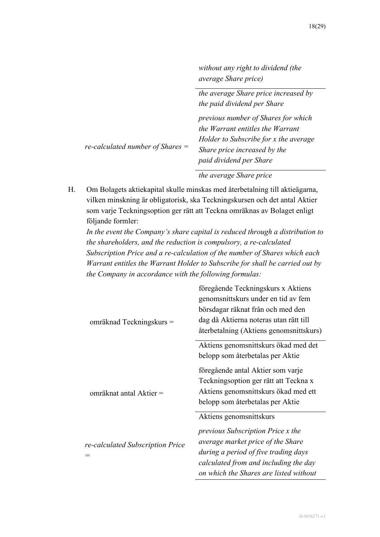| without any right to dividend (the |  |
|------------------------------------|--|
| <i>average Share price</i> )       |  |

|                                  | the average Share price increased by  |
|----------------------------------|---------------------------------------|
|                                  | the paid dividend per Share           |
| re-calculated number of Shares = | previous number of Shares for which   |
|                                  | the Warrant entitles the Warrant      |
|                                  | Holder to Subscribe for x the average |
|                                  | Share price increased by the          |
|                                  | paid dividend per Share               |
|                                  | $\sim$                                |

*the average Share price*

<span id="page-17-0"></span>H. Om Bolagets aktiekapital skulle minskas med återbetalning till aktieägarna, vilken minskning är obligatorisk, ska Teckningskursen och det antal Aktier som varje Teckningsoption ger rätt att Teckna omräknas av Bolaget enligt följande formler:

*In the event the Company's share capital is reduced through a distribution to the shareholders, and the reduction is compulsory, a re-calculated Subscription Price and a re-calculation of the number of Shares which each Warrant entitles the Warrant Holder to Subscribe for shall be carried out by the Company in accordance with the following formulas:*

| omräknad Teckningskurs =                | föregående Teckningskurs x Aktiens<br>genomsnittskurs under en tid av fem<br>börsdagar räknat från och med den<br>dag då Aktierna noteras utan rätt till<br>återbetalning (Aktiens genomsnittskurs) |
|-----------------------------------------|-----------------------------------------------------------------------------------------------------------------------------------------------------------------------------------------------------|
|                                         | Aktiens genomsnittskurs ökad med det                                                                                                                                                                |
|                                         | belopp som återbetalas per Aktie                                                                                                                                                                    |
| omräknat antal Aktier =                 | föregående antal Aktier som varje                                                                                                                                                                   |
|                                         | Teckningsoption ger rätt att Teckna x                                                                                                                                                               |
|                                         | Aktiens genomsnittskurs ökad med ett                                                                                                                                                                |
|                                         | belopp som återbetalas per Aktie                                                                                                                                                                    |
|                                         | Aktiens genomsnittskurs                                                                                                                                                                             |
| re-calculated Subscription Price<br>$=$ | <i>previous Subscription Price x the</i>                                                                                                                                                            |
|                                         | average market price of the Share                                                                                                                                                                   |
|                                         | during a period of five trading days                                                                                                                                                                |
|                                         | calculated from and including the day                                                                                                                                                               |
|                                         | on which the Shares are listed without                                                                                                                                                              |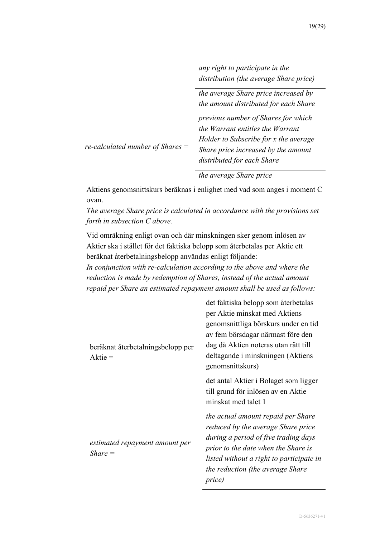*any right to participate in the distribution (the average Share price)*

|                                  | the average Share price increased by<br>the amount distributed for each Share                                                                                                         |
|----------------------------------|---------------------------------------------------------------------------------------------------------------------------------------------------------------------------------------|
| re-calculated number of Shares = | previous number of Shares for which<br>the Warrant entitles the Warrant<br>Holder to Subscribe for x the average<br>Share price increased by the amount<br>distributed for each Share |

#### *the average Share price*

Aktiens genomsnittskurs beräknas i enlighet med vad som anges i moment [C](#page-7-0) ovan.

*The average Share price is calculated in accordance with the provisions set forth in subsection [C](#page-7-0) above.*

Vid omräkning enligt ovan och där minskningen sker genom inlösen av Aktier ska i stället för det faktiska belopp som återbetalas per Aktie ett beräknat återbetalningsbelopp användas enligt följande:

*In conjunction with re-calculation according to the above and where the reduction is made by redemption of Shares, instead of the actual amount repaid per Share an estimated repayment amount shall be used as follows:*

| beräknat återbetalningsbelopp per<br>$A$ ktie = | det faktiska belopp som återbetalas<br>per Aktie minskat med Aktiens<br>genomsnittliga börskurs under en tid<br>av fem börsdagar närmast före den<br>dag då Aktien noteras utan rätt till<br>deltagande i minskningen (Aktiens<br>genomsnittskurs)<br>det antal Aktier i Bolaget som ligger<br>till grund för inlösen av en Aktie<br>minskat med talet 1 |
|-------------------------------------------------|----------------------------------------------------------------------------------------------------------------------------------------------------------------------------------------------------------------------------------------------------------------------------------------------------------------------------------------------------------|
| estimated repayment amount per<br>$Share =$     | the actual amount repaid per Share<br>reduced by the average Share price<br>during a period of five trading days<br>prior to the date when the Share is<br>listed without a right to participate in<br>the reduction (the average Share<br>price)                                                                                                        |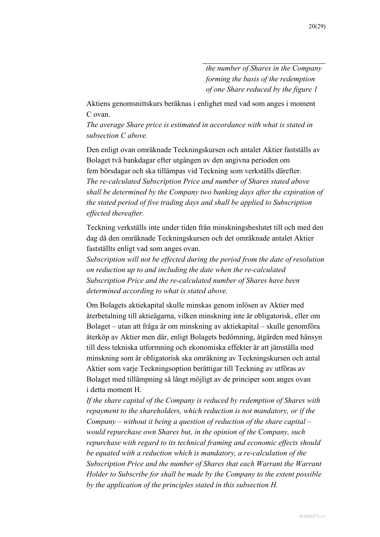*the number of Shares in the Company forming the basis of the redemption of one Share reduced by the figure 1*

Aktiens genomsnittskurs beräknas i enlighet med vad som anges i moment [C](#page-7-0) ovan.

*The average Share price is estimated in accordance with what is stated in subsection [C](#page-7-0) above.*

Den enligt ovan omräknade Teckningskursen och antalet Aktier fastställs av Bolaget två bankdagar efter utgången av den angivna perioden om fem börsdagar och ska tillämpas vid Teckning som verkställs därefter. *The re-calculated Subscription Price and number of Shares stated above shall be determined by the Company two banking days after the expiration of the stated period of five trading days and shall be applied to Subscription effected thereafter.*

Teckning verkställs inte under tiden från minskningsbeslutet till och med den dag då den omräknade Teckningskursen och det omräknade antalet Aktier fastställts enligt vad som anges ovan.

*Subscription will not be effected during the period from the date of resolution on reduction up to and including the date when the re-calculated Subscription Price and the re-calculated number of Shares have been determined according to what is stated above.*

Om Bolagets aktiekapital skulle minskas genom inlösen av Aktier med återbetalning till aktieägarna, vilken minskning inte är obligatorisk, eller om Bolaget – utan att fråga är om minskning av aktiekapital – skulle genomföra återköp av Aktier men där, enligt Bolagets bedömning, åtgärden med hänsyn till dess tekniska utformning och ekonomiska effekter är att jämställa med minskning som är obligatorisk ska omräkning av Teckningskursen och antal Aktier som varje Teckningsoption berättigar till Teckning av utföras av Bolaget med tillämpning så långt möjligt av de principer som anges ovan i detta moment [H.](#page-17-0)

*If the share capital of the Company is reduced by redemption of Shares with repayment to the shareholders, which reduction is not mandatory, or if the Company – without it being a question of reduction of the share capital – would repurchase own Shares but, in the opinion of the Company, such repurchase with regard to its technical framing and economic effects should be equated with a reduction which is mandatory, a re-calculation of the Subscription Price and the number of Shares that each Warrant the Warrant Holder to Subscribe for shall be made by the Company to the extent possible by the application of the principles stated in this subsection [H.](#page-17-0)*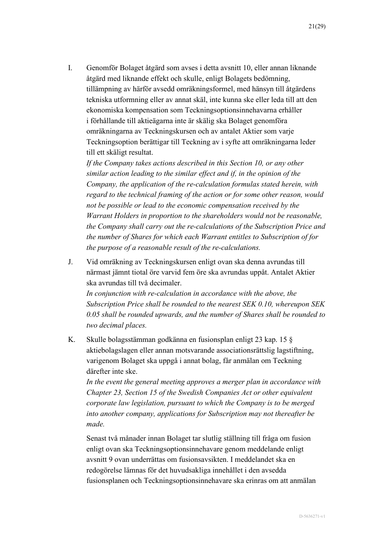I. Genomför Bolaget åtgärd som avses i detta avsnitt [10,](#page-5-0) eller annan liknande åtgärd med liknande effekt och skulle, enligt Bolagets bedömning, tillämpning av härför avsedd omräkningsformel, med hänsyn till åtgärdens tekniska utformning eller av annat skäl, inte kunna ske eller leda till att den ekonomiska kompensation som Teckningsoptionsinnehavarna erhåller i förhållande till aktieägarna inte är skälig ska Bolaget genomföra omräkningarna av Teckningskursen och av antalet Aktier som varje Teckningsoption berättigar till Teckning av i syfte att omräkningarna leder till ett skäligt resultat.

*If the Company takes actions described in this Section [10,](#page-5-0) or any other similar action leading to the similar effect and if, in the opinion of the Company, the application of the re-calculation formulas stated herein, with regard to the technical framing of the action or for some other reason, would not be possible or lead to the economic compensation received by the Warrant Holders in proportion to the shareholders would not be reasonable, the Company shall carry out the re-calculations of the Subscription Price and the number of Shares for which each Warrant entitles to Subscription of for the purpose of a reasonable result of the re-calculations.*

J. Vid omräkning av Teckningskursen enligt ovan ska denna avrundas till närmast jämnt tiotal öre varvid fem öre ska avrundas uppåt. Antalet Aktier ska avrundas till två decimaler.

*In conjunction with re-calculation in accordance with the above, the Subscription Price shall be rounded to the nearest SEK 0.10, whereupon SEK 0.05 shall be rounded upwards, and the number of Shares shall be rounded to two decimal places.*

<span id="page-20-0"></span>K. Skulle bolagsstämman godkänna en fusionsplan enligt 23 kap. 15 § aktiebolagslagen eller annan motsvarande associationsrättslig lagstiftning, varigenom Bolaget ska uppgå i annat bolag, får anmälan om Teckning därefter inte ske.

*In the event the general meeting approves a merger plan in accordance with Chapter 23, Section 15 of the Swedish Companies Act or other equivalent corporate law legislation, pursuant to which the Company is to be merged into another company, applications for Subscription may not thereafter be made.*

Senast två månader innan Bolaget tar slutlig ställning till fråga om fusion enligt ovan ska Teckningsoptionsinnehavare genom meddelande enligt avsnitt 9 ovan underrättas om fusionsavsikten. I meddelandet ska en redogörelse lämnas för det huvudsakliga innehållet i den avsedda fusionsplanen och Teckningsoptionsinnehavare ska erinras om att anmälan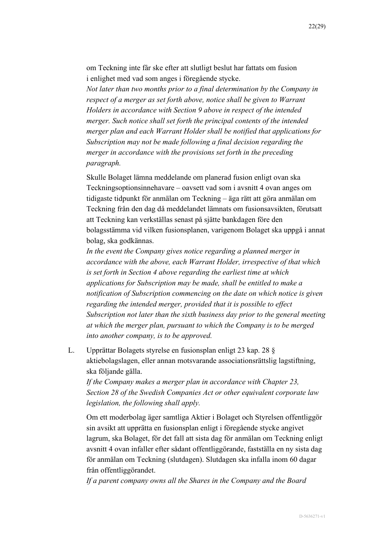om Teckning inte får ske efter att slutligt beslut har fattats om fusion i enlighet med vad som anges i föregående stycke.

*Not later than two months prior to a final determination by the Company in respect of a merger as set forth above, notice shall be given to Warrant Holders in accordance with Section 9 above in respect of the intended merger. Such notice shall set forth the principal contents of the intended merger plan and each Warrant Holder shall be notified that applications for Subscription may not be made following a final decision regarding the merger in accordance with the provisions set forth in the preceding paragraph.*

Skulle Bolaget lämna meddelande om planerad fusion enligt ovan ska Teckningsoptionsinnehavare – oavsett vad som i avsnitt [4](#page-2-1) ovan anges om tidigaste tidpunkt för anmälan om Teckning – äga rätt att göra anmälan om Teckning från den dag då meddelandet lämnats om fusionsavsikten, förutsatt att Teckning kan verkställas senast på sjätte bankdagen före den bolagsstämma vid vilken fusionsplanen, varigenom Bolaget ska uppgå i annat bolag, ska godkännas.

*In the event the Company gives notice regarding a planned merger in accordance with the above, each Warrant Holder, irrespective of that which is set forth in Section [4](#page-2-1) above regarding the earliest time at which applications for Subscription may be made, shall be entitled to make a notification of Subscription commencing on the date on which notice is given regarding the intended merger, provided that it is possible to effect Subscription not later than the sixth business day prior to the general meeting at which the merger plan, pursuant to which the Company is to be merged into another company, is to be approved.*

<span id="page-21-0"></span>L. Upprättar Bolagets styrelse en fusionsplan enligt 23 kap. 28 § aktiebolagslagen, eller annan motsvarande associationsrättslig lagstiftning, ska följande gälla.

*If the Company makes a merger plan in accordance with Chapter 23, Section 28 of the Swedish Companies Act or other equivalent corporate law legislation, the following shall apply.*

Om ett moderbolag äger samtliga Aktier i Bolaget och Styrelsen offentliggör sin avsikt att upprätta en fusionsplan enligt i föregående stycke angivet lagrum, ska Bolaget, för det fall att sista dag för anmälan om Teckning enligt avsnitt [4](#page-2-1) ovan infaller efter sådant offentliggörande, fastställa en ny sista dag för anmälan om Teckning (slutdagen). Slutdagen ska infalla inom 60 dagar från offentliggörandet.

*If a parent company owns all the Shares in the Company and the Board*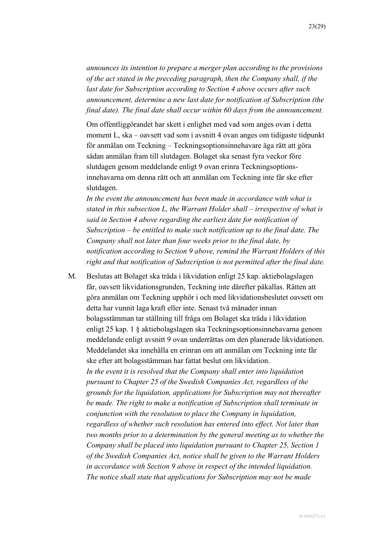*announces its intention to prepare a merger plan according to the provisions of the act stated in the preceding paragraph, then the Company shall, if the last date for Subscription according to Section [4](#page-2-1) above occurs after such announcement, determine a new last date for notification of Subscription (the final date). The final date shall occur within 60 days from the announcement.*

Om offentliggörandet har skett i enlighet med vad som anges ovan i detta moment [L,](#page-21-0) ska – oavsett vad som i avsnitt [4](#page-2-1) ovan anges om tidigaste tidpunkt för anmälan om Teckning – Teckningsoptionsinnehavare äga rätt att göra sådan anmälan fram till slutdagen. Bolaget ska senast fyra veckor före slutdagen genom meddelande enligt 9 ovan erinra Teckningsoptionsinnehavarna om denna rätt och att anmälan om Teckning inte får ske efter slutdagen.

*In the event the announcement has been made in accordance with what is stated in this subsection [L,](#page-21-0) the Warrant Holder shall – irrespective of what is said in Section [4](#page-2-1) above regarding the earliest date for notification of Subscription – be entitled to make such notification up to the final date. The Company shall not later than four weeks prior to the final date, by notification according to Section 9 above, remind the Warrant Holders of this right and that notification of Subscription is not permitted after the final date.*

M. Beslutas att Bolaget ska träda i likvidation enligt 25 kap. aktiebolagslagen får, oavsett likvidationsgrunden, Teckning inte därefter påkallas. Rätten att göra anmälan om Teckning upphör i och med likvidationsbeslutet oavsett om detta har vunnit laga kraft eller inte. Senast två månader innan bolagsstämman tar ställning till fråga om Bolaget ska träda i likvidation enligt 25 kap. 1 § aktiebolagslagen ska Teckningsoptionsinnehavarna genom meddelande enligt avsnitt 9 ovan underrättas om den planerade likvidationen. Meddelandet ska innehålla en erinran om att anmälan om Teckning inte får ske efter att bolagsstämman har fattat beslut om likvidation. *In the event it is resolved that the Company shall enter into liquidation pursuant to Chapter 25 of the Swedish Companies Act, regardless of the grounds for the liquidation, applications for Subscription may not thereafter be made. The right to make a notification of Subscription shall terminate in conjunction with the resolution to place the Company in liquidation, regardless of whether such resolution has entered into effect. Not later than two months prior to a determination by the general meeting as to whether the Company shall be placed into liquidation pursuant to Chapter 25, Section 1 of the Swedish Companies Act, notice shall be given to the Warrant Holders in accordance with Section 9 above in respect of the intended liquidation. The notice shall state that applications for Subscription may not be made*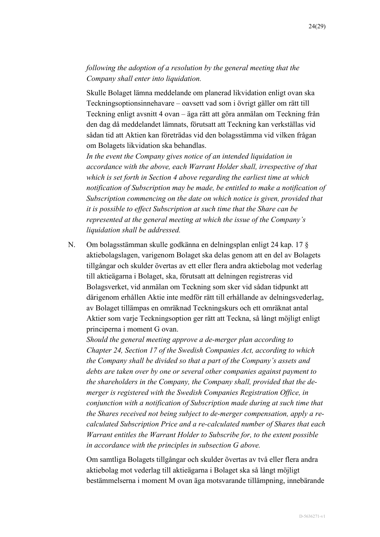*following the adoption of a resolution by the general meeting that the Company shall enter into liquidation.*

Skulle Bolaget lämna meddelande om planerad likvidation enligt ovan ska Teckningsoptionsinnehavare – oavsett vad som i övrigt gäller om rätt till Teckning enligt avsnitt [4](#page-2-1) ovan – äga rätt att göra anmälan om Teckning från den dag då meddelandet lämnats, förutsatt att Teckning kan verkställas vid sådan tid att Aktien kan företrädas vid den bolagsstämma vid vilken frågan om Bolagets likvidation ska behandlas.

*In the event the Company gives notice of an intended liquidation in accordance with the above, each Warrant Holder shall, irrespective of that which is set forth in Section [4](#page-2-1) above regarding the earliest time at which notification of Subscription may be made, be entitled to make a notification of Subscription commencing on the date on which notice is given, provided that it is possible to effect Subscription at such time that the Share can be represented at the general meeting at which the issue of the Company's liquidation shall be addressed.*

N. Om bolagsstämman skulle godkänna en delningsplan enligt 24 kap. 17 § aktiebolagslagen, varigenom Bolaget ska delas genom att en del av Bolagets tillgångar och skulder övertas av ett eller flera andra aktiebolag mot vederlag till aktieägarna i Bolaget, ska, förutsatt att delningen registreras vid Bolagsverket, vid anmälan om Teckning som sker vid sådan tidpunkt att därigenom erhållen Aktie inte medför rätt till erhållande av delningsvederlag, av Bolaget tillämpas en omräknad Teckningskurs och ett omräknat antal Aktier som varje Teckningsoption ger rätt att Teckna, så långt möjligt enligt principerna i moment [G](#page-16-0) ovan.

*Should the general meeting approve a de-merger plan according to Chapter 24, Section 17 of the Swedish Companies Act, according to which the Company shall be divided so that a part of the Company's assets and debts are taken over by one or several other companies against payment to the shareholders in the Company, the Company shall, provided that the demerger is registered with the Swedish Companies Registration Office, in conjunction with a notification of Subscription made during at such time that the Shares received not being subject to de-merger compensation, apply a recalculated Subscription Price and a re-calculated number of Shares that each Warrant entitles the Warrant Holder to Subscribe for, to the extent possible in accordance with the principles in subsection [G](#page-16-0) above.*

Om samtliga Bolagets tillgångar och skulder övertas av två eller flera andra aktiebolag mot vederlag till aktieägarna i Bolaget ska så långt möjligt bestämmelserna i moment M ovan äga motsvarande tillämpning, innebärande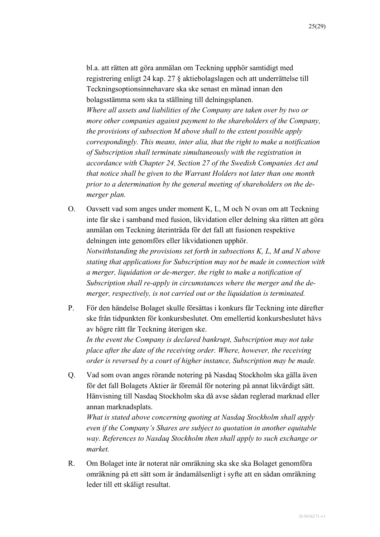bl.a. att rätten att göra anmälan om Teckning upphör samtidigt med registrering enligt 24 kap. 27 § aktiebolagslagen och att underrättelse till Teckningsoptionsinnehavare ska ske senast en månad innan den bolagsstämma som ska ta ställning till delningsplanen. *Where all assets and liabilities of the Company are taken over by two or more other companies against payment to the shareholders of the Company, the provisions of subsection M above shall to the extent possible apply correspondingly. This means, inter alia, that the right to make a notification of Subscription shall terminate simultaneously with the registration in accordance with Chapter 24, Section 27 of the Swedish Companies Act and that notice shall be given to the Warrant Holders not later than one month prior to a determination by the general meeting of shareholders on the demerger plan.*

- O. Oavsett vad som anges under moment [K,](#page-20-0) L, M och N ovan om att Teckning inte får ske i samband med fusion, likvidation eller delning ska rätten att göra anmälan om Teckning återinträda för det fall att fusionen respektive delningen inte genomförs eller likvidationen upphör. *Notwithstanding the provisions set forth in subsections [K,](#page-20-0) L, M and N above stating that applications for Subscription may not be made in connection with a merger, liquidation or de-merger, the right to make a notification of Subscription shall re-apply in circumstances where the merger and the de-*
- P. För den händelse Bolaget skulle försättas i konkurs får Teckning inte därefter ske från tidpunkten för konkursbeslutet. Om emellertid konkursbeslutet hävs av högre rätt får Teckning återigen ske. *In the event the Company is declared bankrupt, Subscription may not take place after the date of the receiving order. Where, however, the receiving order is reversed by a court of higher instance, Subscription may be made.*

*merger, respectively, is not carried out or the liquidation is terminated.*

Q. Vad som ovan anges rörande notering på Nasdaq Stockholm ska gälla även för det fall Bolagets Aktier är föremål för notering på annat likvärdigt sätt. Hänvisning till Nasdaq Stockholm ska då avse sådan reglerad marknad eller annan marknadsplats.

*What is stated above concerning quoting at Nasdaq Stockholm shall apply even if the Company's Shares are subject to quotation in another equitable way. References to Nasdaq Stockholm then shall apply to such exchange or market.*

R. Om Bolaget inte är noterat när omräkning ska ske ska Bolaget genomföra omräkning på ett sätt som är ändamålsenligt i syfte att en sådan omräkning leder till ett skäligt resultat.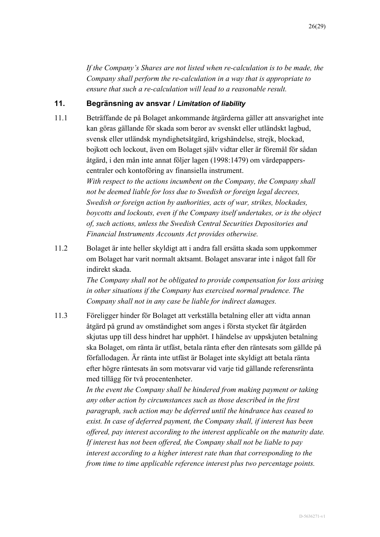*If the Company's Shares are not listed when re-calculation is to be made, the Company shall perform the re-calculation in a way that is appropriate to ensure that such a re-calculation will lead to a reasonable result.*

### **11. Begränsning av ansvar /** *Limitation of liability*

11.1 Beträffande de på Bolaget ankommande åtgärderna gäller att ansvarighet inte kan göras gällande för skada som beror av svenskt eller utländskt lagbud, svensk eller utländsk myndighetsåtgärd, krigshändelse, strejk, blockad, bojkott och lockout, även om Bolaget själv vidtar eller är föremål för sådan åtgärd, i den mån inte annat följer lagen (1998:1479) om värdepapperscentraler och kontoföring av finansiella instrument.

> *With respect to the actions incumbent on the Company, the Company shall not be deemed liable for loss due to Swedish or foreign legal decrees, Swedish or foreign action by authorities, acts of war, strikes, blockades, boycotts and lockouts, even if the Company itself undertakes, or is the object of, such actions, unless the Swedish Central Securities Depositories and Financial Instruments Accounts Act provides otherwise.*

11.2 Bolaget är inte heller skyldigt att i andra fall ersätta skada som uppkommer om Bolaget har varit normalt aktsamt. Bolaget ansvarar inte i något fall för indirekt skada.

> *The Company shall not be obligated to provide compensation for loss arising in other situations if the Company has exercised normal prudence. The Company shall not in any case be liable for indirect damages.*

11.3 Föreligger hinder för Bolaget att verkställa betalning eller att vidta annan åtgärd på grund av omständighet som anges i första stycket får åtgärden skjutas upp till dess hindret har upphört. I händelse av uppskjuten betalning ska Bolaget, om ränta är utfäst, betala ränta efter den räntesats som gällde på förfallodagen. Är ränta inte utfäst är Bolaget inte skyldigt att betala ränta efter högre räntesats än som motsvarar vid varje tid gällande referensränta med tillägg för två procentenheter.

> *In the event the Company shall be hindered from making payment or taking any other action by circumstances such as those described in the first paragraph, such action may be deferred until the hindrance has ceased to exist. In case of deferred payment, the Company shall, if interest has been offered, pay interest according to the interest applicable on the maturity date. If interest has not been offered, the Company shall not be liable to pay interest according to a higher interest rate than that corresponding to the from time to time applicable reference interest plus two percentage points.*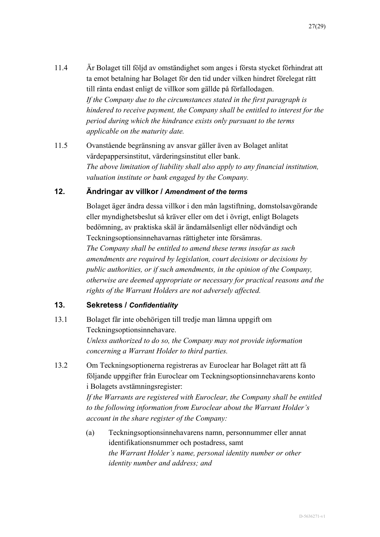- 11.4 Är Bolaget till följd av omständighet som anges i första stycket förhindrat att ta emot betalning har Bolaget för den tid under vilken hindret förelegat rätt till ränta endast enligt de villkor som gällde på förfallodagen. *If the Company due to the circumstances stated in the first paragraph is hindered to receive payment, the Company shall be entitled to interest for the period during which the hindrance exists only pursuant to the terms applicable on the maturity date.*
- 11.5 Ovanstående begränsning av ansvar gäller även av Bolaget anlitat värdepappersinstitut, värderingsinstitut eller bank. *The above limitation of liability shall also apply to any financial institution, valuation institute or bank engaged by the Company.*

#### **12. Ändringar av villkor /** *Amendment of the terms*

Bolaget äger ändra dessa villkor i den mån lagstiftning, domstolsavgörande eller myndighetsbeslut så kräver eller om det i övrigt, enligt Bolagets bedömning, av praktiska skäl är ändamålsenligt eller nödvändigt och Teckningsoptionsinnehavarnas rättigheter inte försämras.

*The Company shall be entitled to amend these terms insofar as such amendments are required by legislation, court decisions or decisions by public authorities, or if such amendments, in the opinion of the Company, otherwise are deemed appropriate or necessary for practical reasons and the rights of the Warrant Holders are not adversely affected.*

#### **13. Sekretess /** *Confidentiality*

- 13.1 Bolaget får inte obehörigen till tredje man lämna uppgift om Teckningsoptionsinnehavare. *Unless authorized to do so, the Company may not provide information concerning a Warrant Holder to third parties.*
- 13.2 Om Teckningsoptionerna registreras av Euroclear har Bolaget rätt att få följande uppgifter från Euroclear om Teckningsoptionsinnehavarens konto i Bolagets avstämningsregister:

*If the Warrants are registered with Euroclear, the Company shall be entitled to the following information from Euroclear about the Warrant Holder's account in the share register of the Company:*

(a) Teckningsoptionsinnehavarens namn, personnummer eller annat identifikationsnummer och postadress, samt *the Warrant Holder's name, personal identity number or other identity number and address; and*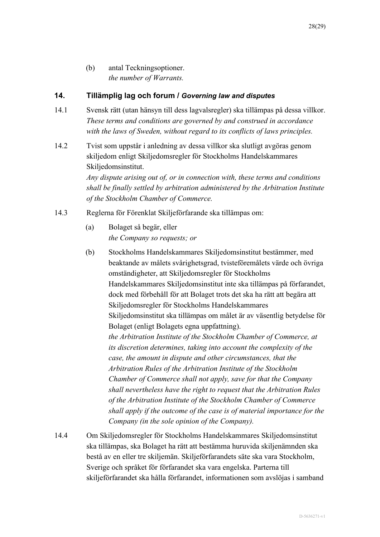(b) antal Teckningsoptioner. *the number of Warrants.*

### **14. Tillämplig lag och forum /** *Governing law and disputes*

- 14.1 Svensk rätt (utan hänsyn till dess lagvalsregler) ska tillämpas på dessa villkor. *These terms and conditions are governed by and construed in accordance with the laws of Sweden, without regard to its conflicts of laws principles.*
- 14.2 Tvist som uppstår i anledning av dessa villkor ska slutligt avgöras genom skiljedom enligt Skiljedomsregler för Stockholms Handelskammares Skiljedomsinstitut.

*Any dispute arising out of, or in connection with, these terms and conditions shall be finally settled by arbitration administered by the Arbitration Institute of the Stockholm Chamber of Commerce.*

- 14.3 Reglerna för Förenklat Skiljeförfarande ska tillämpas om:
	- (a) Bolaget så begär, eller *the Company so requests; or*
	- (b) Stockholms Handelskammares Skiljedomsinstitut bestämmer, med beaktande av målets svårighetsgrad, tvisteföremålets värde och övriga omständigheter, att Skiljedomsregler för Stockholms Handelskammares Skiljedomsinstitut inte ska tillämpas på förfarandet, dock med förbehåll för att Bolaget trots det ska ha rätt att begära att Skiljedomsregler för Stockholms Handelskammares Skiljedomsinstitut ska tillämpas om målet är av väsentlig betydelse för Bolaget (enligt Bolagets egna uppfattning). *the Arbitration Institute of the Stockholm Chamber of Commerce, at its discretion determines, taking into account the complexity of the case, the amount in dispute and other circumstances, that the Arbitration Rules of the Arbitration Institute of the Stockholm Chamber of Commerce shall not apply, save for that the Company shall nevertheless have the right to request that the Arbitration Rules of the Arbitration Institute of the Stockholm Chamber of Commerce shall apply if the outcome of the case is of material importance for the Company (in the sole opinion of the Company).*
- 14.4 Om Skiljedomsregler för Stockholms Handelskammares Skiljedomsinstitut ska tillämpas, ska Bolaget ha rätt att bestämma huruvida skiljenämnden ska bestå av en eller tre skiljemän. Skiljeförfarandets säte ska vara Stockholm, Sverige och språket för förfarandet ska vara engelska. Parterna till skiljeförfarandet ska hålla förfarandet, informationen som avslöjas i samband